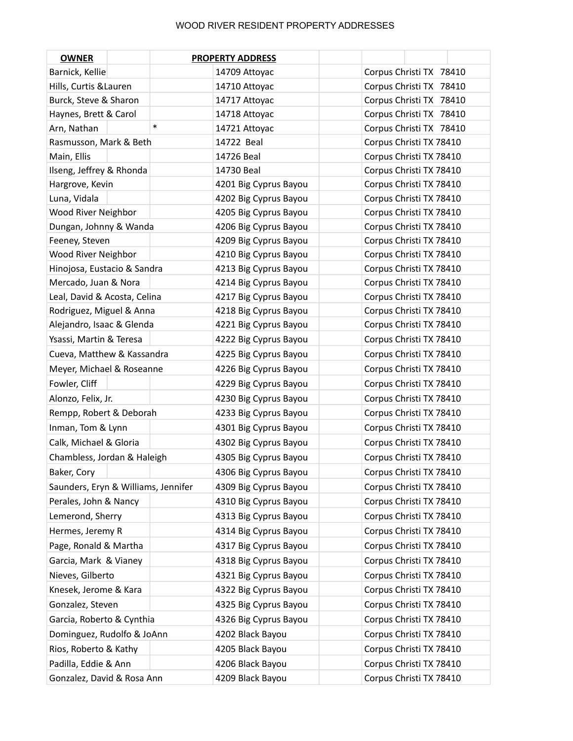| <b>OWNER</b>                        |        | <b>PROPERTY ADDRESS</b> |                         |  |  |
|-------------------------------------|--------|-------------------------|-------------------------|--|--|
| Barnick, Kellie                     |        | 14709 Attoyac           | Corpus Christi TX 78410 |  |  |
| Hills, Curtis & Lauren              |        | 14710 Attoyac           | Corpus Christi TX 78410 |  |  |
| Burck, Steve & Sharon               |        | 14717 Attoyac           | Corpus Christi TX 78410 |  |  |
| Haynes, Brett & Carol               |        | 14718 Attoyac           | Corpus Christi TX 78410 |  |  |
| Arn, Nathan                         | $\ast$ | 14721 Attoyac           | Corpus Christi TX 78410 |  |  |
| Rasmusson, Mark & Beth              |        | 14722 Beal              | Corpus Christi TX 78410 |  |  |
| Main, Ellis                         |        | 14726 Beal              | Corpus Christi TX 78410 |  |  |
| Ilseng, Jeffrey & Rhonda            |        | 14730 Beal              | Corpus Christi TX 78410 |  |  |
| Hargrove, Kevin                     |        | 4201 Big Cyprus Bayou   | Corpus Christi TX 78410 |  |  |
| Luna, Vidala                        |        | 4202 Big Cyprus Bayou   | Corpus Christi TX 78410 |  |  |
| Wood River Neighbor                 |        | 4205 Big Cyprus Bayou   | Corpus Christi TX 78410 |  |  |
| Dungan, Johnny & Wanda              |        | 4206 Big Cyprus Bayou   | Corpus Christi TX 78410 |  |  |
| Feeney, Steven                      |        | 4209 Big Cyprus Bayou   | Corpus Christi TX 78410 |  |  |
| Wood River Neighbor                 |        | 4210 Big Cyprus Bayou   | Corpus Christi TX 78410 |  |  |
| Hinojosa, Eustacio & Sandra         |        | 4213 Big Cyprus Bayou   | Corpus Christi TX 78410 |  |  |
| Mercado, Juan & Nora                |        | 4214 Big Cyprus Bayou   | Corpus Christi TX 78410 |  |  |
| Leal, David & Acosta, Celina        |        | 4217 Big Cyprus Bayou   | Corpus Christi TX 78410 |  |  |
| Rodriguez, Miguel & Anna            |        | 4218 Big Cyprus Bayou   | Corpus Christi TX 78410 |  |  |
| Alejandro, Isaac & Glenda           |        | 4221 Big Cyprus Bayou   | Corpus Christi TX 78410 |  |  |
| Ysassi, Martin & Teresa             |        | 4222 Big Cyprus Bayou   | Corpus Christi TX 78410 |  |  |
| Cueva, Matthew & Kassandra          |        | 4225 Big Cyprus Bayou   | Corpus Christi TX 78410 |  |  |
| Meyer, Michael & Roseanne           |        | 4226 Big Cyprus Bayou   | Corpus Christi TX 78410 |  |  |
| Fowler, Cliff                       |        | 4229 Big Cyprus Bayou   | Corpus Christi TX 78410 |  |  |
| Alonzo, Felix, Jr.                  |        | 4230 Big Cyprus Bayou   | Corpus Christi TX 78410 |  |  |
| Rempp, Robert & Deborah             |        | 4233 Big Cyprus Bayou   | Corpus Christi TX 78410 |  |  |
| Inman, Tom & Lynn                   |        | 4301 Big Cyprus Bayou   | Corpus Christi TX 78410 |  |  |
| Calk, Michael & Gloria              |        | 4302 Big Cyprus Bayou   | Corpus Christi TX 78410 |  |  |
| Chambless, Jordan & Haleigh         |        | 4305 Big Cyprus Bayou   | Corpus Christi TX 78410 |  |  |
| Baker, Cory                         |        | 4306 Big Cyprus Bayou   | Corpus Christi TX 78410 |  |  |
| Saunders, Eryn & Williams, Jennifer |        | 4309 Big Cyprus Bayou   | Corpus Christi TX 78410 |  |  |
| Perales, John & Nancy               |        | 4310 Big Cyprus Bayou   | Corpus Christi TX 78410 |  |  |
| Lemerond, Sherry                    |        | 4313 Big Cyprus Bayou   | Corpus Christi TX 78410 |  |  |
| Hermes, Jeremy R                    |        | 4314 Big Cyprus Bayou   | Corpus Christi TX 78410 |  |  |
| Page, Ronald & Martha               |        | 4317 Big Cyprus Bayou   | Corpus Christi TX 78410 |  |  |
| Garcia, Mark & Vianey               |        | 4318 Big Cyprus Bayou   | Corpus Christi TX 78410 |  |  |
| Nieves, Gilberto                    |        | 4321 Big Cyprus Bayou   | Corpus Christi TX 78410 |  |  |
| Knesek, Jerome & Kara               |        | 4322 Big Cyprus Bayou   | Corpus Christi TX 78410 |  |  |
| Gonzalez, Steven                    |        | 4325 Big Cyprus Bayou   | Corpus Christi TX 78410 |  |  |
| Garcia, Roberto & Cynthia           |        | 4326 Big Cyprus Bayou   | Corpus Christi TX 78410 |  |  |
| Dominguez, Rudolfo & JoAnn          |        | 4202 Black Bayou        | Corpus Christi TX 78410 |  |  |
| Rios, Roberto & Kathy               |        | 4205 Black Bayou        | Corpus Christi TX 78410 |  |  |
| Padilla, Eddie & Ann                |        | 4206 Black Bayou        | Corpus Christi TX 78410 |  |  |
|                                     |        |                         |                         |  |  |
| Gonzalez, David & Rosa Ann          |        | 4209 Black Bayou        | Corpus Christi TX 78410 |  |  |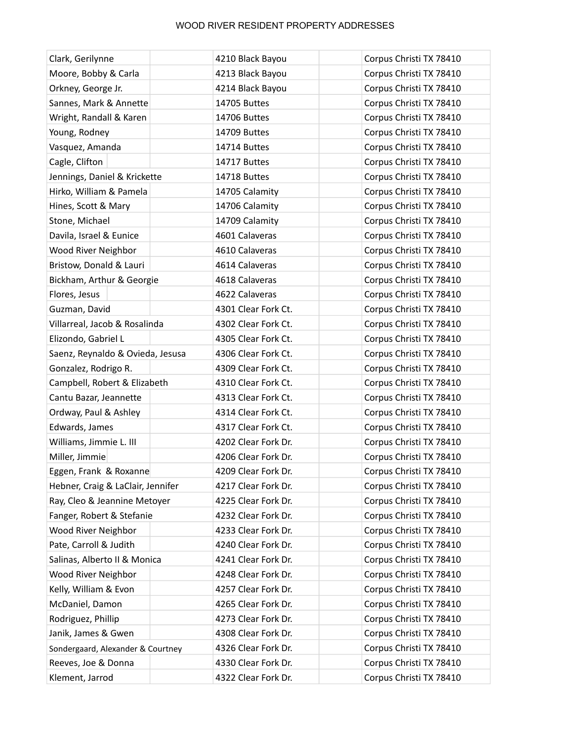| Clark, Gerilynne                  | 4210 Black Bayou    | Corpus Christi TX 78410 |
|-----------------------------------|---------------------|-------------------------|
| Moore, Bobby & Carla              | 4213 Black Bayou    | Corpus Christi TX 78410 |
| Orkney, George Jr.                | 4214 Black Bayou    | Corpus Christi TX 78410 |
| Sannes, Mark & Annette            | 14705 Buttes        | Corpus Christi TX 78410 |
| Wright, Randall & Karen           | 14706 Buttes        | Corpus Christi TX 78410 |
| Young, Rodney                     | 14709 Buttes        | Corpus Christi TX 78410 |
| Vasquez, Amanda                   | 14714 Buttes        | Corpus Christi TX 78410 |
| Cagle, Clifton                    | 14717 Buttes        | Corpus Christi TX 78410 |
| Jennings, Daniel & Krickette      | 14718 Buttes        | Corpus Christi TX 78410 |
| Hirko, William & Pamela           | 14705 Calamity      | Corpus Christi TX 78410 |
| Hines, Scott & Mary               | 14706 Calamity      | Corpus Christi TX 78410 |
| Stone, Michael                    | 14709 Calamity      | Corpus Christi TX 78410 |
| Davila, Israel & Eunice           | 4601 Calaveras      | Corpus Christi TX 78410 |
| Wood River Neighbor               | 4610 Calaveras      | Corpus Christi TX 78410 |
| Bristow, Donald & Lauri           | 4614 Calaveras      | Corpus Christi TX 78410 |
| Bickham, Arthur & Georgie         | 4618 Calaveras      | Corpus Christi TX 78410 |
| Flores, Jesus                     | 4622 Calaveras      | Corpus Christi TX 78410 |
| Guzman, David                     | 4301 Clear Fork Ct. | Corpus Christi TX 78410 |
| Villarreal, Jacob & Rosalinda     | 4302 Clear Fork Ct. | Corpus Christi TX 78410 |
| Elizondo, Gabriel L               | 4305 Clear Fork Ct. | Corpus Christi TX 78410 |
| Saenz, Reynaldo & Ovieda, Jesusa  | 4306 Clear Fork Ct. | Corpus Christi TX 78410 |
| Gonzalez, Rodrigo R.              | 4309 Clear Fork Ct. | Corpus Christi TX 78410 |
| Campbell, Robert & Elizabeth      | 4310 Clear Fork Ct. | Corpus Christi TX 78410 |
| Cantu Bazar, Jeannette            | 4313 Clear Fork Ct. | Corpus Christi TX 78410 |
| Ordway, Paul & Ashley             | 4314 Clear Fork Ct. | Corpus Christi TX 78410 |
| Edwards, James                    | 4317 Clear Fork Ct. | Corpus Christi TX 78410 |
| Williams, Jimmie L. III           | 4202 Clear Fork Dr. | Corpus Christi TX 78410 |
| Miller, Jimmie                    | 4206 Clear Fork Dr. | Corpus Christi TX 78410 |
| Eggen, Frank & Roxanne            | 4209 Clear Fork Dr. | Corpus Christi TX 78410 |
| Hebner, Craig & LaClair, Jennifer | 4217 Clear Fork Dr. | Corpus Christi TX 78410 |
| Ray, Cleo & Jeannine Metoyer      | 4225 Clear Fork Dr. | Corpus Christi TX 78410 |
| Fanger, Robert & Stefanie         | 4232 Clear Fork Dr. | Corpus Christi TX 78410 |
| Wood River Neighbor               | 4233 Clear Fork Dr. | Corpus Christi TX 78410 |
| Pate, Carroll & Judith            | 4240 Clear Fork Dr. | Corpus Christi TX 78410 |
| Salinas, Alberto II & Monica      | 4241 Clear Fork Dr. | Corpus Christi TX 78410 |
| Wood River Neighbor               | 4248 Clear Fork Dr. | Corpus Christi TX 78410 |
| Kelly, William & Evon             | 4257 Clear Fork Dr. | Corpus Christi TX 78410 |
| McDaniel, Damon                   | 4265 Clear Fork Dr. | Corpus Christi TX 78410 |
| Rodriguez, Phillip                | 4273 Clear Fork Dr. | Corpus Christi TX 78410 |
| Janik, James & Gwen               | 4308 Clear Fork Dr. | Corpus Christi TX 78410 |
| Sondergaard, Alexander & Courtney | 4326 Clear Fork Dr. | Corpus Christi TX 78410 |
| Reeves, Joe & Donna               | 4330 Clear Fork Dr. | Corpus Christi TX 78410 |
| Klement, Jarrod                   | 4322 Clear Fork Dr. | Corpus Christi TX 78410 |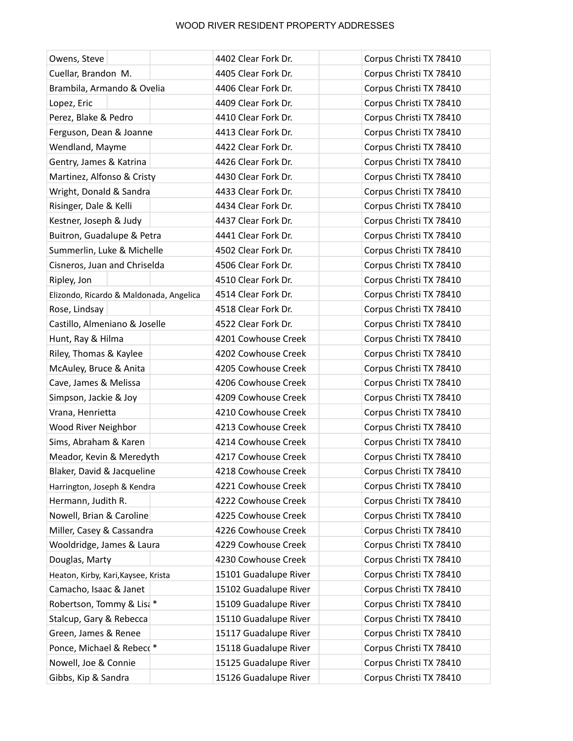| Owens, Steve                            | 4402 Clear Fork Dr.   | Corpus Christi TX 78410 |
|-----------------------------------------|-----------------------|-------------------------|
| Cuellar, Brandon M.                     | 4405 Clear Fork Dr.   | Corpus Christi TX 78410 |
| Brambila, Armando & Ovelia              | 4406 Clear Fork Dr.   | Corpus Christi TX 78410 |
| Lopez, Eric                             | 4409 Clear Fork Dr.   | Corpus Christi TX 78410 |
| Perez, Blake & Pedro                    | 4410 Clear Fork Dr.   | Corpus Christi TX 78410 |
| Ferguson, Dean & Joanne                 | 4413 Clear Fork Dr.   | Corpus Christi TX 78410 |
| Wendland, Mayme                         | 4422 Clear Fork Dr.   | Corpus Christi TX 78410 |
| Gentry, James & Katrina                 | 4426 Clear Fork Dr.   | Corpus Christi TX 78410 |
| Martinez, Alfonso & Cristy              | 4430 Clear Fork Dr.   | Corpus Christi TX 78410 |
| Wright, Donald & Sandra                 | 4433 Clear Fork Dr.   | Corpus Christi TX 78410 |
| Risinger, Dale & Kelli                  | 4434 Clear Fork Dr.   | Corpus Christi TX 78410 |
| Kestner, Joseph & Judy                  | 4437 Clear Fork Dr.   | Corpus Christi TX 78410 |
| Buitron, Guadalupe & Petra              | 4441 Clear Fork Dr.   | Corpus Christi TX 78410 |
| Summerlin, Luke & Michelle              | 4502 Clear Fork Dr.   | Corpus Christi TX 78410 |
| Cisneros, Juan and Chriselda            | 4506 Clear Fork Dr.   | Corpus Christi TX 78410 |
| Ripley, Jon                             | 4510 Clear Fork Dr.   | Corpus Christi TX 78410 |
| Elizondo, Ricardo & Maldonada, Angelica | 4514 Clear Fork Dr.   | Corpus Christi TX 78410 |
| Rose, Lindsay                           | 4518 Clear Fork Dr.   | Corpus Christi TX 78410 |
| Castillo, Almeniano & Joselle           | 4522 Clear Fork Dr.   | Corpus Christi TX 78410 |
| Hunt, Ray & Hilma                       | 4201 Cowhouse Creek   | Corpus Christi TX 78410 |
| Riley, Thomas & Kaylee                  | 4202 Cowhouse Creek   | Corpus Christi TX 78410 |
| McAuley, Bruce & Anita                  | 4205 Cowhouse Creek   | Corpus Christi TX 78410 |
| Cave, James & Melissa                   | 4206 Cowhouse Creek   | Corpus Christi TX 78410 |
| Simpson, Jackie & Joy                   | 4209 Cowhouse Creek   | Corpus Christi TX 78410 |
| Vrana, Henrietta                        | 4210 Cowhouse Creek   | Corpus Christi TX 78410 |
| Wood River Neighbor                     | 4213 Cowhouse Creek   | Corpus Christi TX 78410 |
| Sims, Abraham & Karen                   | 4214 Cowhouse Creek   | Corpus Christi TX 78410 |
| Meador, Kevin & Meredyth                | 4217 Cowhouse Creek   | Corpus Christi TX 78410 |
| Blaker, David & Jacqueline              | 4218 Cowhouse Creek   | Corpus Christi TX 78410 |
| Harrington, Joseph & Kendra             | 4221 Cowhouse Creek   | Corpus Christi TX 78410 |
| Hermann, Judith R.                      | 4222 Cowhouse Creek   | Corpus Christi TX 78410 |
| Nowell, Brian & Caroline                | 4225 Cowhouse Creek   | Corpus Christi TX 78410 |
| Miller, Casey & Cassandra               | 4226 Cowhouse Creek   | Corpus Christi TX 78410 |
| Wooldridge, James & Laura               | 4229 Cowhouse Creek   | Corpus Christi TX 78410 |
| Douglas, Marty                          | 4230 Cowhouse Creek   | Corpus Christi TX 78410 |
| Heaton, Kirby, Kari, Kaysee, Krista     | 15101 Guadalupe River | Corpus Christi TX 78410 |
| Camacho, Isaac & Janet                  | 15102 Guadalupe River | Corpus Christi TX 78410 |
| Robertson, Tommy & Lisa*                | 15109 Guadalupe River | Corpus Christi TX 78410 |
| Stalcup, Gary & Rebecca                 | 15110 Guadalupe River | Corpus Christi TX 78410 |
| Green, James & Renee                    | 15117 Guadalupe River | Corpus Christi TX 78410 |
| Ponce, Michael & Rebeco*                | 15118 Guadalupe River | Corpus Christi TX 78410 |
| Nowell, Joe & Connie                    | 15125 Guadalupe River | Corpus Christi TX 78410 |
| Gibbs, Kip & Sandra                     | 15126 Guadalupe River | Corpus Christi TX 78410 |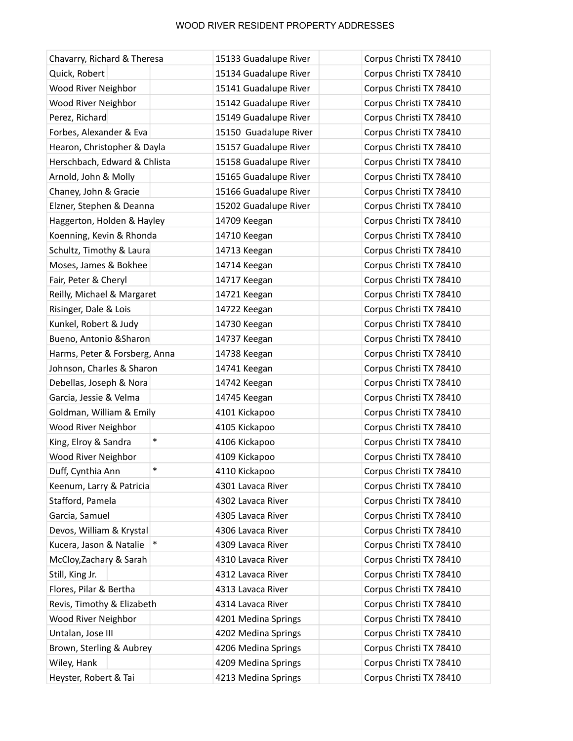| Chavarry, Richard & Theresa       | 15133 Guadalupe River | Corpus Christi TX 78410 |
|-----------------------------------|-----------------------|-------------------------|
| Quick, Robert                     | 15134 Guadalupe River | Corpus Christi TX 78410 |
| Wood River Neighbor               | 15141 Guadalupe River | Corpus Christi TX 78410 |
| Wood River Neighbor               | 15142 Guadalupe River | Corpus Christi TX 78410 |
| Perez, Richard                    | 15149 Guadalupe River | Corpus Christi TX 78410 |
| Forbes, Alexander & Eva           | 15150 Guadalupe River | Corpus Christi TX 78410 |
| Hearon, Christopher & Dayla       | 15157 Guadalupe River | Corpus Christi TX 78410 |
| Herschbach, Edward & Chlista      | 15158 Guadalupe River | Corpus Christi TX 78410 |
| Arnold, John & Molly              | 15165 Guadalupe River | Corpus Christi TX 78410 |
| Chaney, John & Gracie             | 15166 Guadalupe River | Corpus Christi TX 78410 |
| Elzner, Stephen & Deanna          | 15202 Guadalupe River | Corpus Christi TX 78410 |
| Haggerton, Holden & Hayley        | 14709 Keegan          | Corpus Christi TX 78410 |
| Koenning, Kevin & Rhonda          | 14710 Keegan          | Corpus Christi TX 78410 |
| Schultz, Timothy & Laura          | 14713 Keegan          | Corpus Christi TX 78410 |
| Moses, James & Bokhee             | 14714 Keegan          | Corpus Christi TX 78410 |
| Fair, Peter & Cheryl              | 14717 Keegan          | Corpus Christi TX 78410 |
| Reilly, Michael & Margaret        | 14721 Keegan          | Corpus Christi TX 78410 |
| Risinger, Dale & Lois             | 14722 Keegan          | Corpus Christi TX 78410 |
| Kunkel, Robert & Judy             | 14730 Keegan          | Corpus Christi TX 78410 |
| Bueno, Antonio & Sharon           | 14737 Keegan          | Corpus Christi TX 78410 |
| Harms, Peter & Forsberg, Anna     | 14738 Keegan          | Corpus Christi TX 78410 |
| Johnson, Charles & Sharon         | 14741 Keegan          | Corpus Christi TX 78410 |
| Debellas, Joseph & Nora           | 14742 Keegan          | Corpus Christi TX 78410 |
| Garcia, Jessie & Velma            | 14745 Keegan          | Corpus Christi TX 78410 |
| Goldman, William & Emily          | 4101 Kickapoo         | Corpus Christi TX 78410 |
| Wood River Neighbor               | 4105 Kickapoo         | Corpus Christi TX 78410 |
| $\ast$<br>King, Elroy & Sandra    | 4106 Kickapoo         | Corpus Christi TX 78410 |
| Wood River Neighbor               | 4109 Kickapoo         | Corpus Christi TX 78410 |
| Duff, Cynthia Ann                 | 4110 Kickapoo         | Corpus Christi TX 78410 |
| Keenum, Larry & Patricia          | 4301 Lavaca River     | Corpus Christi TX 78410 |
| Stafford, Pamela                  | 4302 Lavaca River     | Corpus Christi TX 78410 |
| Garcia, Samuel                    | 4305 Lavaca River     | Corpus Christi TX 78410 |
| Devos, William & Krystal          | 4306 Lavaca River     | Corpus Christi TX 78410 |
| $\ast$<br>Kucera, Jason & Natalie | 4309 Lavaca River     | Corpus Christi TX 78410 |
| McCloy, Zachary & Sarah           | 4310 Lavaca River     | Corpus Christi TX 78410 |
| Still, King Jr.                   | 4312 Lavaca River     | Corpus Christi TX 78410 |
| Flores, Pilar & Bertha            | 4313 Lavaca River     | Corpus Christi TX 78410 |
| Revis, Timothy & Elizabeth        | 4314 Lavaca River     | Corpus Christi TX 78410 |
| Wood River Neighbor               | 4201 Medina Springs   | Corpus Christi TX 78410 |
| Untalan, Jose III                 | 4202 Medina Springs   | Corpus Christi TX 78410 |
| Brown, Sterling & Aubrey          | 4206 Medina Springs   | Corpus Christi TX 78410 |
| Wiley, Hank                       | 4209 Medina Springs   | Corpus Christi TX 78410 |
| Heyster, Robert & Tai             | 4213 Medina Springs   | Corpus Christi TX 78410 |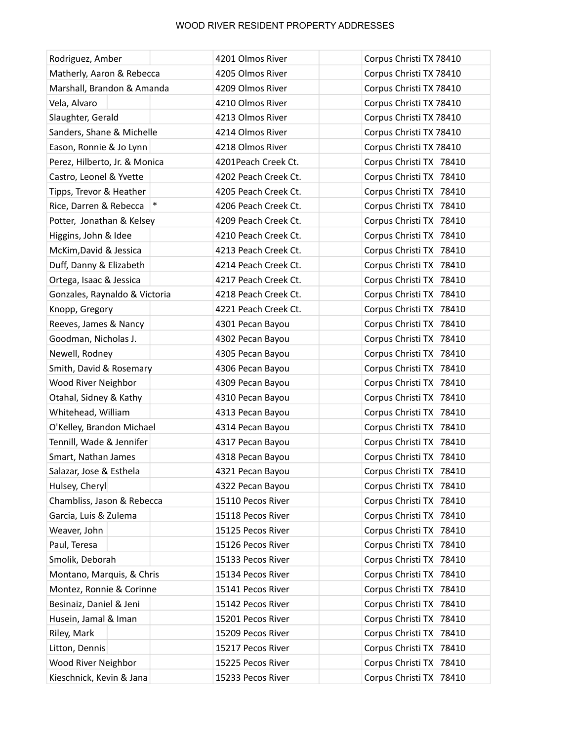| Rodriguez, Amber                 | 4201 Olmos River     | Corpus Christi TX 78410 |
|----------------------------------|----------------------|-------------------------|
| Matherly, Aaron & Rebecca        | 4205 Olmos River     | Corpus Christi TX 78410 |
| Marshall, Brandon & Amanda       | 4209 Olmos River     | Corpus Christi TX 78410 |
| Vela, Alvaro                     | 4210 Olmos River     | Corpus Christi TX 78410 |
| Slaughter, Gerald                | 4213 Olmos River     | Corpus Christi TX 78410 |
| Sanders, Shane & Michelle        | 4214 Olmos River     | Corpus Christi TX 78410 |
| Eason, Ronnie & Jo Lynn          | 4218 Olmos River     | Corpus Christi TX 78410 |
| Perez, Hilberto, Jr. & Monica    | 4201Peach Creek Ct.  | Corpus Christi TX 78410 |
| Castro, Leonel & Yvette          | 4202 Peach Creek Ct. | Corpus Christi TX 78410 |
| Tipps, Trevor & Heather          | 4205 Peach Creek Ct. | Corpus Christi TX 78410 |
| $\ast$<br>Rice, Darren & Rebecca | 4206 Peach Creek Ct. | Corpus Christi TX 78410 |
| Potter, Jonathan & Kelsey        | 4209 Peach Creek Ct. | Corpus Christi TX 78410 |
| Higgins, John & Idee             | 4210 Peach Creek Ct. | Corpus Christi TX 78410 |
| McKim, David & Jessica           | 4213 Peach Creek Ct. | Corpus Christi TX 78410 |
| Duff, Danny & Elizabeth          | 4214 Peach Creek Ct. | Corpus Christi TX 78410 |
| Ortega, Isaac & Jessica          | 4217 Peach Creek Ct. | Corpus Christi TX 78410 |
| Gonzales, Raynaldo & Victoria    | 4218 Peach Creek Ct. | Corpus Christi TX 78410 |
| Knopp, Gregory                   | 4221 Peach Creek Ct. | Corpus Christi TX 78410 |
| Reeves, James & Nancy            | 4301 Pecan Bayou     | Corpus Christi TX 78410 |
| Goodman, Nicholas J.             | 4302 Pecan Bayou     | Corpus Christi TX 78410 |
| Newell, Rodney                   | 4305 Pecan Bayou     | Corpus Christi TX 78410 |
| Smith, David & Rosemary          | 4306 Pecan Bayou     | Corpus Christi TX 78410 |
| Wood River Neighbor              | 4309 Pecan Bayou     | Corpus Christi TX 78410 |
| Otahal, Sidney & Kathy           | 4310 Pecan Bayou     | Corpus Christi TX 78410 |
| Whitehead, William               | 4313 Pecan Bayou     | Corpus Christi TX 78410 |
| O'Kelley, Brandon Michael        | 4314 Pecan Bayou     | Corpus Christi TX 78410 |
| Tennill, Wade & Jennifer         | 4317 Pecan Bayou     | Corpus Christi TX 78410 |
| Smart, Nathan James              | 4318 Pecan Bayou     | Corpus Christi TX 78410 |
| Salazar, Jose & Esthela          | 4321 Pecan Bayou     | Corpus Christi TX 78410 |
| Hulsey, Cheryl                   | 4322 Pecan Bayou     | Corpus Christi TX 78410 |
| Chambliss, Jason & Rebecca       | 15110 Pecos River    | Corpus Christi TX 78410 |
| Garcia, Luis & Zulema            | 15118 Pecos River    | Corpus Christi TX 78410 |
| Weaver, John                     | 15125 Pecos River    | Corpus Christi TX 78410 |
| Paul, Teresa                     | 15126 Pecos River    | Corpus Christi TX 78410 |
| Smolik, Deborah                  | 15133 Pecos River    | Corpus Christi TX 78410 |
| Montano, Marquis, & Chris        | 15134 Pecos River    | Corpus Christi TX 78410 |
| Montez, Ronnie & Corinne         | 15141 Pecos River    | Corpus Christi TX 78410 |
| Besinaiz, Daniel & Jeni          | 15142 Pecos River    | Corpus Christi TX 78410 |
| Husein, Jamal & Iman             | 15201 Pecos River    | Corpus Christi TX 78410 |
| Riley, Mark                      | 15209 Pecos River    | Corpus Christi TX 78410 |
| Litton, Dennis                   | 15217 Pecos River    | Corpus Christi TX 78410 |
| Wood River Neighbor              | 15225 Pecos River    | Corpus Christi TX 78410 |
| Kieschnick, Kevin & Jana         | 15233 Pecos River    | Corpus Christi TX 78410 |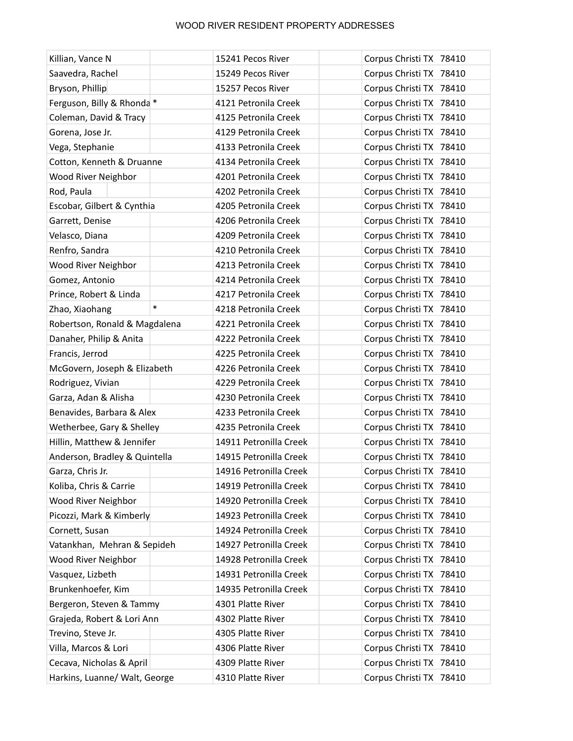| Killian, Vance N              | 15241 Pecos River      | Corpus Christi TX 78410 |
|-------------------------------|------------------------|-------------------------|
| Saavedra, Rachel              | 15249 Pecos River      | Corpus Christi TX 78410 |
| Bryson, Phillip               | 15257 Pecos River      | Corpus Christi TX 78410 |
| Ferguson, Billy & Rhonda*     | 4121 Petronila Creek   | Corpus Christi TX 78410 |
| Coleman, David & Tracy        | 4125 Petronila Creek   | Corpus Christi TX 78410 |
| Gorena, Jose Jr.              | 4129 Petronila Creek   | Corpus Christi TX 78410 |
| Vega, Stephanie               | 4133 Petronila Creek   | Corpus Christi TX 78410 |
| Cotton, Kenneth & Druanne     | 4134 Petronila Creek   | Corpus Christi TX 78410 |
| Wood River Neighbor           | 4201 Petronila Creek   | Corpus Christi TX 78410 |
| Rod, Paula                    | 4202 Petronila Creek   | Corpus Christi TX 78410 |
| Escobar, Gilbert & Cynthia    | 4205 Petronila Creek   | Corpus Christi TX 78410 |
| Garrett, Denise               | 4206 Petronila Creek   | Corpus Christi TX 78410 |
| Velasco, Diana                | 4209 Petronila Creek   | Corpus Christi TX 78410 |
| Renfro, Sandra                | 4210 Petronila Creek   | Corpus Christi TX 78410 |
| Wood River Neighbor           | 4213 Petronila Creek   | Corpus Christi TX 78410 |
| Gomez, Antonio                | 4214 Petronila Creek   | Corpus Christi TX 78410 |
| Prince, Robert & Linda        | 4217 Petronila Creek   | Corpus Christi TX 78410 |
| $\ast$<br>Zhao, Xiaohang      | 4218 Petronila Creek   | Corpus Christi TX 78410 |
| Robertson, Ronald & Magdalena | 4221 Petronila Creek   | Corpus Christi TX 78410 |
| Danaher, Philip & Anita       | 4222 Petronila Creek   | Corpus Christi TX 78410 |
| Francis, Jerrod               | 4225 Petronila Creek   | Corpus Christi TX 78410 |
| McGovern, Joseph & Elizabeth  | 4226 Petronila Creek   | Corpus Christi TX 78410 |
| Rodriguez, Vivian             | 4229 Petronila Creek   | Corpus Christi TX 78410 |
| Garza, Adan & Alisha          | 4230 Petronila Creek   | Corpus Christi TX 78410 |
| Benavides, Barbara & Alex     | 4233 Petronila Creek   | Corpus Christi TX 78410 |
| Wetherbee, Gary & Shelley     | 4235 Petronila Creek   | Corpus Christi TX 78410 |
| Hillin, Matthew & Jennifer    | 14911 Petronilla Creek | Corpus Christi TX 78410 |
| Anderson, Bradley & Quintella | 14915 Petronilla Creek | Corpus Christi TX 78410 |
| Garza, Chris Jr.              | 14916 Petronilla Creek | Corpus Christi TX 78410 |
| Koliba, Chris & Carrie        | 14919 Petronilla Creek | Corpus Christi TX 78410 |
| Wood River Neighbor           | 14920 Petronilla Creek | Corpus Christi TX 78410 |
| Picozzi, Mark & Kimberly      | 14923 Petronilla Creek | Corpus Christi TX 78410 |
| Cornett, Susan                | 14924 Petronilla Creek | Corpus Christi TX 78410 |
| Vatankhan, Mehran & Sepideh   | 14927 Petronilla Creek | Corpus Christi TX 78410 |
| Wood River Neighbor           | 14928 Petronilla Creek | Corpus Christi TX 78410 |
| Vasquez, Lizbeth              | 14931 Petronilla Creek | Corpus Christi TX 78410 |
| Brunkenhoefer, Kim            | 14935 Petronilla Creek | Corpus Christi TX 78410 |
| Bergeron, Steven & Tammy      | 4301 Platte River      | Corpus Christi TX 78410 |
| Grajeda, Robert & Lori Ann    | 4302 Platte River      | Corpus Christi TX 78410 |
| Trevino, Steve Jr.            | 4305 Platte River      | Corpus Christi TX 78410 |
| Villa, Marcos & Lori          | 4306 Platte River      | Corpus Christi TX 78410 |
| Cecava, Nicholas & April      | 4309 Platte River      | Corpus Christi TX 78410 |
| Harkins, Luanne/ Walt, George | 4310 Platte River      | Corpus Christi TX 78410 |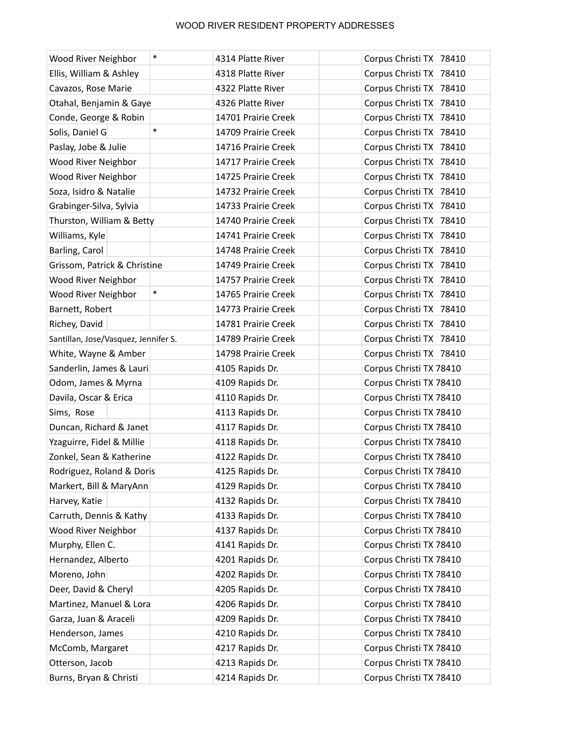| Wood River Neighbor                  | $\ast$ | 4314 Platte River   | Corpus Christi TX 78410 |
|--------------------------------------|--------|---------------------|-------------------------|
| Ellis, William & Ashley              |        | 4318 Platte River   | Corpus Christi TX 78410 |
| Cavazos, Rose Marie                  |        | 4322 Platte River   | Corpus Christi TX 78410 |
| Otahal, Benjamin & Gaye              |        | 4326 Platte River   | Corpus Christi TX 78410 |
| Conde, George & Robin                |        | 14701 Prairie Creek | Corpus Christi TX 78410 |
| Solis, Daniel G                      | $\ast$ | 14709 Prairie Creek | Corpus Christi TX 78410 |
| Paslay, Jobe & Julie                 |        | 14716 Prairie Creek | Corpus Christi TX 78410 |
| Wood River Neighbor                  |        | 14717 Prairie Creek | Corpus Christi TX 78410 |
| Wood River Neighbor                  |        | 14725 Prairie Creek | Corpus Christi TX 78410 |
| Soza, Isidro & Natalie               |        | 14732 Prairie Creek | Corpus Christi TX 78410 |
| Grabinger-Silva, Sylvia              |        | 14733 Prairie Creek | Corpus Christi TX 78410 |
| Thurston, William & Betty            |        | 14740 Prairie Creek | Corpus Christi TX 78410 |
| Williams, Kyle                       |        | 14741 Prairie Creek | Corpus Christi TX 78410 |
| Barling, Carol                       |        | 14748 Prairie Creek | Corpus Christi TX 78410 |
| Grissom, Patrick & Christine         |        | 14749 Prairie Creek | Corpus Christi TX 78410 |
| Wood River Neighbor                  |        | 14757 Prairie Creek | Corpus Christi TX 78410 |
| Wood River Neighbor                  | $\ast$ | 14765 Prairie Creek | Corpus Christi TX 78410 |
| Barnett, Robert                      |        | 14773 Prairie Creek | Corpus Christi TX 78410 |
| Richey, David                        |        | 14781 Prairie Creek | Corpus Christi TX 78410 |
| Santillan, Jose/Vasquez, Jennifer S. |        | 14789 Prairie Creek | Corpus Christi TX 78410 |
| White, Wayne & Amber                 |        | 14798 Prairie Creek | Corpus Christi TX 78410 |
| Sanderlin, James & Lauri             |        | 4105 Rapids Dr.     | Corpus Christi TX 78410 |
| Odom, James & Myrna                  |        | 4109 Rapids Dr.     | Corpus Christi TX 78410 |
| Davila, Oscar & Erica                |        | 4110 Rapids Dr.     | Corpus Christi TX 78410 |
| Sims, Rose                           |        | 4113 Rapids Dr.     | Corpus Christi TX 78410 |
| Duncan, Richard & Janet              |        | 4117 Rapids Dr.     | Corpus Christi TX 78410 |
| Yzaguirre, Fidel & Millie            |        | 4118 Rapids Dr.     | Corpus Christi TX 78410 |
| Zonkel, Sean & Katherine             |        | 4122 Rapids Dr.     | Corpus Christi TX 78410 |
| Rodriguez, Roland & Doris            |        | 4125 Rapids Dr.     | Corpus Christi TX 78410 |
| Markert, Bill & MaryAnn              |        | 4129 Rapids Dr.     | Corpus Christi TX 78410 |
| Harvey, Katie                        |        | 4132 Rapids Dr.     | Corpus Christi TX 78410 |
| Carruth, Dennis & Kathy              |        | 4133 Rapids Dr.     | Corpus Christi TX 78410 |
| Wood River Neighbor                  |        | 4137 Rapids Dr.     | Corpus Christi TX 78410 |
| Murphy, Ellen C.                     |        | 4141 Rapids Dr.     | Corpus Christi TX 78410 |
| Hernandez, Alberto                   |        | 4201 Rapids Dr.     | Corpus Christi TX 78410 |
| Moreno, John                         |        | 4202 Rapids Dr.     | Corpus Christi TX 78410 |
| Deer, David & Cheryl                 |        | 4205 Rapids Dr.     | Corpus Christi TX 78410 |
| Martinez, Manuel & Lora              |        | 4206 Rapids Dr.     | Corpus Christi TX 78410 |
| Garza, Juan & Araceli                |        | 4209 Rapids Dr.     | Corpus Christi TX 78410 |
| Henderson, James                     |        | 4210 Rapids Dr.     | Corpus Christi TX 78410 |
| McComb, Margaret                     |        | 4217 Rapids Dr.     | Corpus Christi TX 78410 |
| Otterson, Jacob                      |        | 4213 Rapids Dr.     | Corpus Christi TX 78410 |
| Burns, Bryan & Christi               |        | 4214 Rapids Dr.     | Corpus Christi TX 78410 |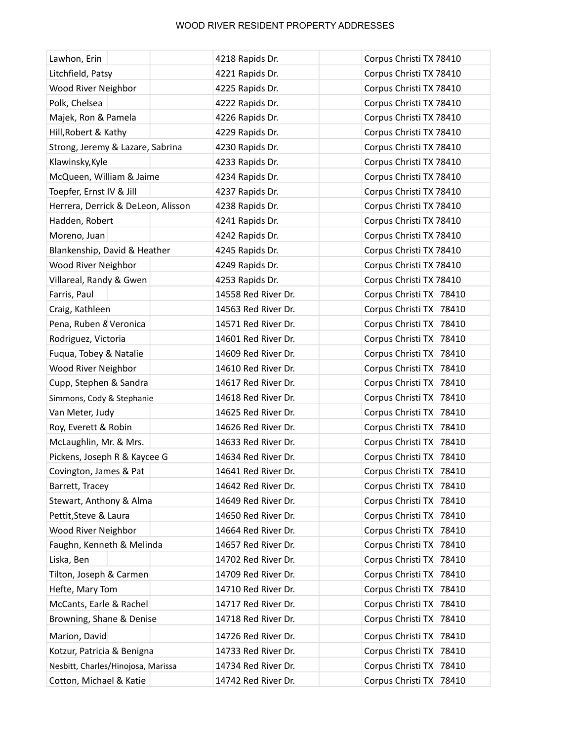| Lawhon, Erin                       | 4218 Rapids Dr.     | Corpus Christi TX 78410 |
|------------------------------------|---------------------|-------------------------|
| Litchfield, Patsy                  | 4221 Rapids Dr.     | Corpus Christi TX 78410 |
| Wood River Neighbor                | 4225 Rapids Dr.     | Corpus Christi TX 78410 |
| Polk, Chelsea                      | 4222 Rapids Dr.     | Corpus Christi TX 78410 |
| Majek, Ron & Pamela                | 4226 Rapids Dr.     | Corpus Christi TX 78410 |
| Hill, Robert & Kathy               | 4229 Rapids Dr.     | Corpus Christi TX 78410 |
| Strong, Jeremy & Lazare, Sabrina   | 4230 Rapids Dr.     | Corpus Christi TX 78410 |
| Klawinsky, Kyle                    | 4233 Rapids Dr.     | Corpus Christi TX 78410 |
| McQueen, William & Jaime           | 4234 Rapids Dr.     | Corpus Christi TX 78410 |
| Toepfer, Ernst IV & Jill           | 4237 Rapids Dr.     | Corpus Christi TX 78410 |
| Herrera, Derrick & DeLeon, Alisson | 4238 Rapids Dr.     | Corpus Christi TX 78410 |
| Hadden, Robert                     | 4241 Rapids Dr.     | Corpus Christi TX 78410 |
| Moreno, Juan                       | 4242 Rapids Dr.     | Corpus Christi TX 78410 |
| Blankenship, David & Heather       | 4245 Rapids Dr.     | Corpus Christi TX 78410 |
| Wood River Neighbor                | 4249 Rapids Dr.     | Corpus Christi TX 78410 |
| Villareal, Randy & Gwen            | 4253 Rapids Dr.     | Corpus Christi TX 78410 |
| Farris, Paul                       | 14558 Red River Dr. | Corpus Christi TX 78410 |
| Craig, Kathleen                    | 14563 Red River Dr. | Corpus Christi TX 78410 |
| Pena, Ruben 8 Veronica             | 14571 Red River Dr. | Corpus Christi TX 78410 |
| Rodriguez, Victoria                | 14601 Red River Dr. | Corpus Christi TX 78410 |
| Fuqua, Tobey & Natalie             | 14609 Red River Dr. | Corpus Christi TX 78410 |
| Wood River Neighbor                | 14610 Red River Dr. | Corpus Christi TX 78410 |
| Cupp, Stephen & Sandra             | 14617 Red River Dr. | Corpus Christi TX 78410 |
| Simmons, Cody & Stephanie          | 14618 Red River Dr. | Corpus Christi TX 78410 |
| Van Meter, Judy                    | 14625 Red River Dr. | Corpus Christi TX 78410 |
| Roy, Everett & Robin               | 14626 Red River Dr. | Corpus Christi TX 78410 |
| McLaughlin, Mr. & Mrs.             | 14633 Red River Dr. | Corpus Christi TX 78410 |
| Pickens, Joseph R & Kaycee G       | 14634 Red River Dr. | Corpus Christi TX 78410 |
| Covington, James & Pat             | 14641 Red River Dr. | Corpus Christi TX 78410 |
| Barrett, Tracey                    | 14642 Red River Dr. | Corpus Christi TX 78410 |
| Stewart, Anthony & Alma            | 14649 Red River Dr. | Corpus Christi TX 78410 |
| Pettit, Steve & Laura              | 14650 Red River Dr. | Corpus Christi TX 78410 |
| Wood River Neighbor                | 14664 Red River Dr. | Corpus Christi TX 78410 |
| Faughn, Kenneth & Melinda          | 14657 Red River Dr. | Corpus Christi TX 78410 |
| Liska, Ben                         | 14702 Red River Dr. | Corpus Christi TX 78410 |
| Tilton, Joseph & Carmen            | 14709 Red River Dr. | Corpus Christi TX 78410 |
| Hefte, Mary Tom                    | 14710 Red River Dr. | Corpus Christi TX 78410 |
| McCants, Earle & Rachel            | 14717 Red River Dr. | Corpus Christi TX 78410 |
| Browning, Shane & Denise           | 14718 Red River Dr. | Corpus Christi TX 78410 |
| Marion, David                      | 14726 Red River Dr. | Corpus Christi TX 78410 |
| Kotzur, Patricia & Benigna         | 14733 Red River Dr. | Corpus Christi TX 78410 |
| Nesbitt, Charles/Hinojosa, Marissa | 14734 Red River Dr. | Corpus Christi TX 78410 |
| Cotton, Michael & Katie            | 14742 Red River Dr. | Corpus Christi TX 78410 |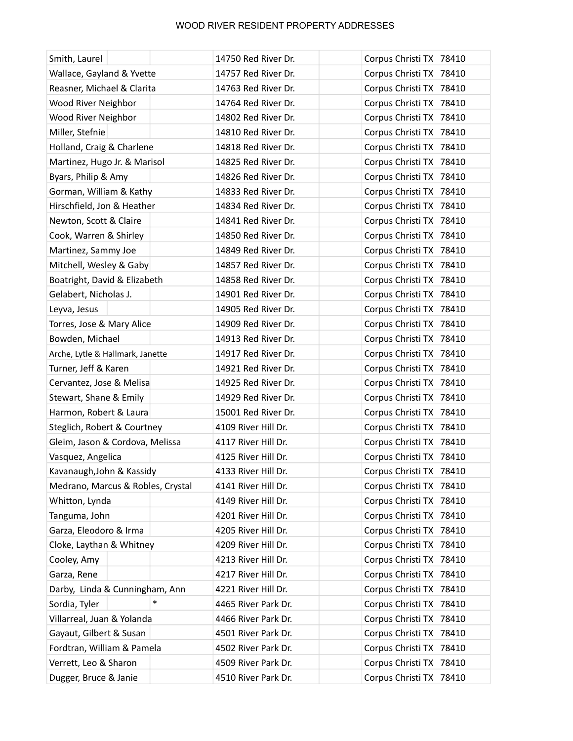| Smith, Laurel                     | 14750 Red River Dr. | Corpus Christi TX 78410 |
|-----------------------------------|---------------------|-------------------------|
| Wallace, Gayland & Yvette         | 14757 Red River Dr. | Corpus Christi TX 78410 |
| Reasner, Michael & Clarita        | 14763 Red River Dr. | Corpus Christi TX 78410 |
| Wood River Neighbor               | 14764 Red River Dr. | Corpus Christi TX 78410 |
| Wood River Neighbor               | 14802 Red River Dr. | Corpus Christi TX 78410 |
| Miller, Stefnie                   | 14810 Red River Dr. | Corpus Christi TX 78410 |
| Holland, Craig & Charlene         | 14818 Red River Dr. | Corpus Christi TX 78410 |
| Martinez, Hugo Jr. & Marisol      | 14825 Red River Dr. | Corpus Christi TX 78410 |
| Byars, Philip & Amy               | 14826 Red River Dr. | Corpus Christi TX 78410 |
| Gorman, William & Kathy           | 14833 Red River Dr. | Corpus Christi TX 78410 |
| Hirschfield, Jon & Heather        | 14834 Red River Dr. | Corpus Christi TX 78410 |
| Newton, Scott & Claire            | 14841 Red River Dr. | Corpus Christi TX 78410 |
| Cook, Warren & Shirley            | 14850 Red River Dr. | Corpus Christi TX 78410 |
| Martinez, Sammy Joe               | 14849 Red River Dr. | Corpus Christi TX 78410 |
| Mitchell, Wesley & Gaby           | 14857 Red River Dr. | Corpus Christi TX 78410 |
| Boatright, David & Elizabeth      | 14858 Red River Dr. | Corpus Christi TX 78410 |
| Gelabert, Nicholas J.             | 14901 Red River Dr. | Corpus Christi TX 78410 |
| Leyva, Jesus                      | 14905 Red River Dr. | Corpus Christi TX 78410 |
| Torres, Jose & Mary Alice         | 14909 Red River Dr. | Corpus Christi TX 78410 |
| Bowden, Michael                   | 14913 Red River Dr. | Corpus Christi TX 78410 |
| Arche, Lytle & Hallmark, Janette  | 14917 Red River Dr. | Corpus Christi TX 78410 |
| Turner, Jeff & Karen              | 14921 Red River Dr. | Corpus Christi TX 78410 |
| Cervantez, Jose & Melisa          | 14925 Red River Dr. | Corpus Christi TX 78410 |
| Stewart, Shane & Emily            | 14929 Red River Dr. | Corpus Christi TX 78410 |
| Harmon, Robert & Laura            | 15001 Red River Dr. | Corpus Christi TX 78410 |
| Steglich, Robert & Courtney       | 4109 River Hill Dr. | Corpus Christi TX 78410 |
| Gleim, Jason & Cordova, Melissa   | 4117 River Hill Dr. | Corpus Christi TX 78410 |
| Vasquez, Angelica                 | 4125 River Hill Dr. | Corpus Christi TX 78410 |
| Kavanaugh, John & Kassidy         | 4133 River Hill Dr. | Corpus Christi TX 78410 |
| Medrano, Marcus & Robles, Crystal | 4141 River Hill Dr. | Corpus Christi TX 78410 |
| Whitton, Lynda                    | 4149 River Hill Dr. | Corpus Christi TX 78410 |
| Tanguma, John                     | 4201 River Hill Dr. | Corpus Christi TX 78410 |
| Garza, Eleodoro & Irma            | 4205 River Hill Dr. | Corpus Christi TX 78410 |
| Cloke, Laythan & Whitney          | 4209 River Hill Dr. | Corpus Christi TX 78410 |
| Cooley, Amy                       | 4213 River Hill Dr. | Corpus Christi TX 78410 |
| Garza, Rene                       | 4217 River Hill Dr. | Corpus Christi TX 78410 |
| Darby, Linda & Cunningham, Ann    | 4221 River Hill Dr. | Corpus Christi TX 78410 |
| $\ast$<br>Sordia, Tyler           | 4465 River Park Dr. | Corpus Christi TX 78410 |
| Villarreal, Juan & Yolanda        | 4466 River Park Dr. | Corpus Christi TX 78410 |
| Gayaut, Gilbert & Susan           | 4501 River Park Dr. | Corpus Christi TX 78410 |
| Fordtran, William & Pamela        | 4502 River Park Dr. | Corpus Christi TX 78410 |
| Verrett, Leo & Sharon             | 4509 River Park Dr. | Corpus Christi TX 78410 |
| Dugger, Bruce & Janie             | 4510 River Park Dr. | Corpus Christi TX 78410 |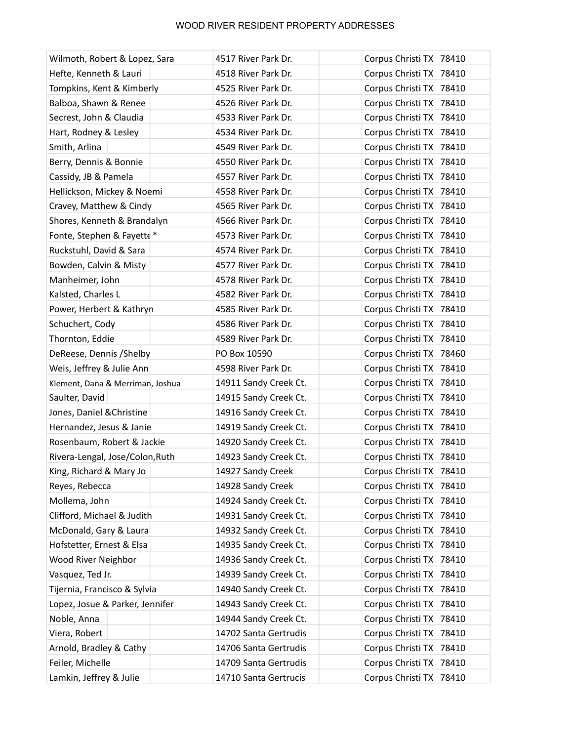| Wilmoth, Robert & Lopez, Sara         | 4517 River Park Dr.   | Corpus Christi TX 78410 |
|---------------------------------------|-----------------------|-------------------------|
| Hefte, Kenneth & Lauri                | 4518 River Park Dr.   | Corpus Christi TX 78410 |
| Tompkins, Kent & Kimberly             | 4525 River Park Dr.   | Corpus Christi TX 78410 |
| Balboa, Shawn & Renee                 | 4526 River Park Dr.   | Corpus Christi TX 78410 |
| Secrest, John & Claudia               | 4533 River Park Dr.   | Corpus Christi TX 78410 |
| Hart, Rodney & Lesley                 | 4534 River Park Dr.   | Corpus Christi TX 78410 |
| Smith, Arlina                         | 4549 River Park Dr.   | Corpus Christi TX 78410 |
| Berry, Dennis & Bonnie                | 4550 River Park Dr.   | Corpus Christi TX 78410 |
| Cassidy, JB & Pamela                  | 4557 River Park Dr.   | Corpus Christi TX 78410 |
| Hellickson, Mickey & Noemi            | 4558 River Park Dr.   | Corpus Christi TX 78410 |
| Cravey, Matthew & Cindy               | 4565 River Park Dr.   | Corpus Christi TX 78410 |
| Shores, Kenneth & Brandalyn           | 4566 River Park Dr.   | Corpus Christi TX 78410 |
| Fonte, Stephen & Fayette <sup>*</sup> | 4573 River Park Dr.   | Corpus Christi TX 78410 |
| Ruckstuhl, David & Sara               | 4574 River Park Dr.   | Corpus Christi TX 78410 |
| Bowden, Calvin & Misty                | 4577 River Park Dr.   | Corpus Christi TX 78410 |
| Manheimer, John                       | 4578 River Park Dr.   | Corpus Christi TX 78410 |
| Kalsted, Charles L                    | 4582 River Park Dr.   | Corpus Christi TX 78410 |
| Power, Herbert & Kathryn              | 4585 River Park Dr.   | Corpus Christi TX 78410 |
| Schuchert, Cody                       | 4586 River Park Dr.   | Corpus Christi TX 78410 |
| Thornton, Eddie                       | 4589 River Park Dr.   | Corpus Christi TX 78410 |
| DeReese, Dennis / Shelby              | PO Box 10590          | Corpus Christi TX 78460 |
| Weis, Jeffrey & Julie Ann             | 4598 River Park Dr.   | Corpus Christi TX 78410 |
| Klement, Dana & Merriman, Joshua      | 14911 Sandy Creek Ct. | Corpus Christi TX 78410 |
| Saulter, David                        | 14915 Sandy Creek Ct. | Corpus Christi TX 78410 |
| Jones, Daniel & Christine             | 14916 Sandy Creek Ct. | Corpus Christi TX 78410 |
| Hernandez, Jesus & Janie              | 14919 Sandy Creek Ct. | Corpus Christi TX 78410 |
| Rosenbaum, Robert & Jackie            | 14920 Sandy Creek Ct. | Corpus Christi TX 78410 |
| Rivera-Lengal, Jose/Colon, Ruth       | 14923 Sandy Creek Ct. | Corpus Christi TX 78410 |
| King, Richard & Mary Jo               | 14927 Sandy Creek     | Corpus Christi TX 78410 |
| Reyes, Rebecca                        | 14928 Sandy Creek     | Corpus Christi TX 78410 |
| Mollema, John                         | 14924 Sandy Creek Ct. | Corpus Christi TX 78410 |
| Clifford, Michael & Judith            | 14931 Sandy Creek Ct. | Corpus Christi TX 78410 |
| McDonald, Gary & Laura                | 14932 Sandy Creek Ct. | Corpus Christi TX 78410 |
| Hofstetter, Ernest & Elsa             | 14935 Sandy Creek Ct. | Corpus Christi TX 78410 |
| Wood River Neighbor                   | 14936 Sandy Creek Ct. | Corpus Christi TX 78410 |
| Vasquez, Ted Jr.                      | 14939 Sandy Creek Ct. | Corpus Christi TX 78410 |
| Tijernia, Francisco & Sylvia          | 14940 Sandy Creek Ct. | Corpus Christi TX 78410 |
| Lopez, Josue & Parker, Jennifer       | 14943 Sandy Creek Ct. | Corpus Christi TX 78410 |
| Noble, Anna                           | 14944 Sandy Creek Ct. | Corpus Christi TX 78410 |
| Viera, Robert                         | 14702 Santa Gertrudis | Corpus Christi TX 78410 |
| Arnold, Bradley & Cathy               | 14706 Santa Gertrudis | Corpus Christi TX 78410 |
| Feiler, Michelle                      | 14709 Santa Gertrudis | Corpus Christi TX 78410 |
| Lamkin, Jeffrey & Julie               | 14710 Santa Gertrucis | Corpus Christi TX 78410 |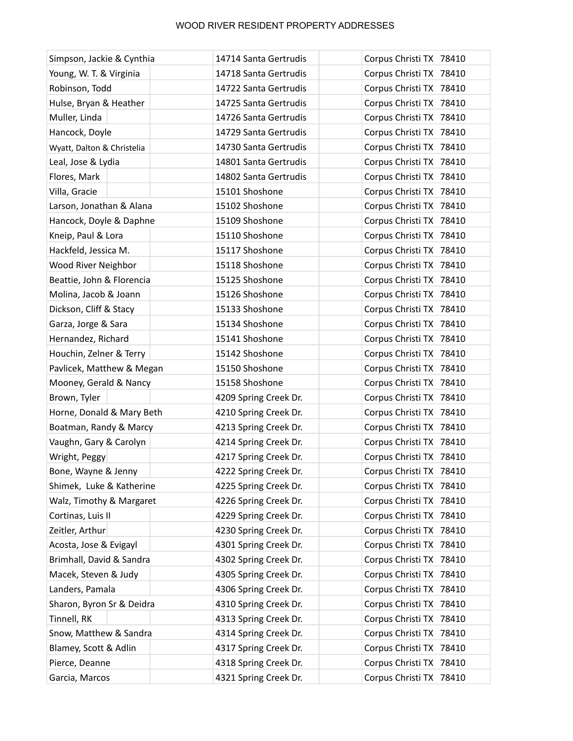| Simpson, Jackie & Cynthia  | 14714 Santa Gertrudis | Corpus Christi TX 78410 |
|----------------------------|-----------------------|-------------------------|
| Young, W. T. & Virginia    | 14718 Santa Gertrudis | Corpus Christi TX 78410 |
| Robinson, Todd             | 14722 Santa Gertrudis | Corpus Christi TX 78410 |
| Hulse, Bryan & Heather     | 14725 Santa Gertrudis | Corpus Christi TX 78410 |
| Muller, Linda              | 14726 Santa Gertrudis | Corpus Christi TX 78410 |
| Hancock, Doyle             | 14729 Santa Gertrudis | Corpus Christi TX 78410 |
| Wyatt, Dalton & Christelia | 14730 Santa Gertrudis | Corpus Christi TX 78410 |
| Leal, Jose & Lydia         | 14801 Santa Gertrudis | Corpus Christi TX 78410 |
| Flores, Mark               | 14802 Santa Gertrudis | Corpus Christi TX 78410 |
| Villa, Gracie              | 15101 Shoshone        | Corpus Christi TX 78410 |
| Larson, Jonathan & Alana   | 15102 Shoshone        | Corpus Christi TX 78410 |
| Hancock, Doyle & Daphne    | 15109 Shoshone        | Corpus Christi TX 78410 |
| Kneip, Paul & Lora         | 15110 Shoshone        | Corpus Christi TX 78410 |
| Hackfeld, Jessica M.       | 15117 Shoshone        | Corpus Christi TX 78410 |
| Wood River Neighbor        | 15118 Shoshone        | Corpus Christi TX 78410 |
| Beattie, John & Florencia  | 15125 Shoshone        | Corpus Christi TX 78410 |
| Molina, Jacob & Joann      | 15126 Shoshone        | Corpus Christi TX 78410 |
| Dickson, Cliff & Stacy     | 15133 Shoshone        | Corpus Christi TX 78410 |
| Garza, Jorge & Sara        | 15134 Shoshone        | Corpus Christi TX 78410 |
| Hernandez, Richard         | 15141 Shoshone        | Corpus Christi TX 78410 |
| Houchin, Zelner & Terry    | 15142 Shoshone        | Corpus Christi TX 78410 |
| Pavlicek, Matthew & Megan  | 15150 Shoshone        | Corpus Christi TX 78410 |
| Mooney, Gerald & Nancy     | 15158 Shoshone        | Corpus Christi TX 78410 |
| Brown, Tyler               | 4209 Spring Creek Dr. | Corpus Christi TX 78410 |
| Horne, Donald & Mary Beth  | 4210 Spring Creek Dr. | Corpus Christi TX 78410 |
| Boatman, Randy & Marcy     | 4213 Spring Creek Dr. | Corpus Christi TX 78410 |
| Vaughn, Gary & Carolyn     | 4214 Spring Creek Dr. | Corpus Christi TX 78410 |
| Wright, Peggy              | 4217 Spring Creek Dr. | Corpus Christi TX 78410 |
| Bone, Wayne & Jenny        | 4222 Spring Creek Dr. | Corpus Christi TX 78410 |
| Shimek, Luke & Katherine   | 4225 Spring Creek Dr. | Corpus Christi TX 78410 |
| Walz, Timothy & Margaret   | 4226 Spring Creek Dr. | Corpus Christi TX 78410 |
| Cortinas, Luis II          | 4229 Spring Creek Dr. | Corpus Christi TX 78410 |
| Zeitler, Arthur            | 4230 Spring Creek Dr. | Corpus Christi TX 78410 |
| Acosta, Jose & Evigayl     | 4301 Spring Creek Dr. | Corpus Christi TX 78410 |
| Brimhall, David & Sandra   | 4302 Spring Creek Dr. | Corpus Christi TX 78410 |
| Macek, Steven & Judy       | 4305 Spring Creek Dr. | Corpus Christi TX 78410 |
| Landers, Pamala            | 4306 Spring Creek Dr. | Corpus Christi TX 78410 |
| Sharon, Byron Sr & Deidra  | 4310 Spring Creek Dr. | Corpus Christi TX 78410 |
| Tinnell, RK                | 4313 Spring Creek Dr. | Corpus Christi TX 78410 |
| Snow, Matthew & Sandra     | 4314 Spring Creek Dr. | Corpus Christi TX 78410 |
| Blamey, Scott & Adlin      | 4317 Spring Creek Dr. | Corpus Christi TX 78410 |
| Pierce, Deanne             | 4318 Spring Creek Dr. | Corpus Christi TX 78410 |
| Garcia, Marcos             | 4321 Spring Creek Dr. | Corpus Christi TX 78410 |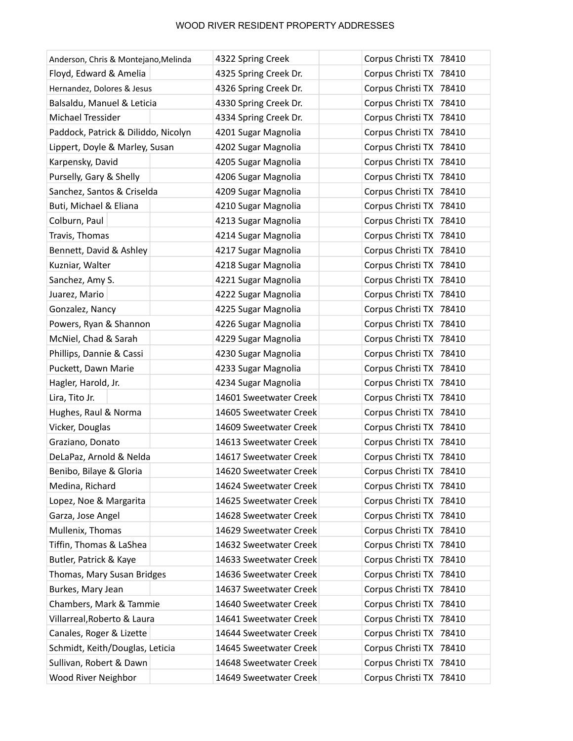| Anderson, Chris & Montejano, Melinda | 4322 Spring Creek      | Corpus Christi TX 78410 |
|--------------------------------------|------------------------|-------------------------|
| Floyd, Edward & Amelia               | 4325 Spring Creek Dr.  | Corpus Christi TX 78410 |
| Hernandez, Dolores & Jesus           | 4326 Spring Creek Dr.  | Corpus Christi TX 78410 |
| Balsaldu, Manuel & Leticia           | 4330 Spring Creek Dr.  | Corpus Christi TX 78410 |
| Michael Tressider                    | 4334 Spring Creek Dr.  | Corpus Christi TX 78410 |
| Paddock, Patrick & Diliddo, Nicolyn  | 4201 Sugar Magnolia    | Corpus Christi TX 78410 |
| Lippert, Doyle & Marley, Susan       | 4202 Sugar Magnolia    | Corpus Christi TX 78410 |
| Karpensky, David                     | 4205 Sugar Magnolia    | Corpus Christi TX 78410 |
| Purselly, Gary & Shelly              | 4206 Sugar Magnolia    | Corpus Christi TX 78410 |
| Sanchez, Santos & Criselda           | 4209 Sugar Magnolia    | Corpus Christi TX 78410 |
| Buti, Michael & Eliana               | 4210 Sugar Magnolia    | Corpus Christi TX 78410 |
| Colburn, Paul                        | 4213 Sugar Magnolia    | Corpus Christi TX 78410 |
| Travis, Thomas                       | 4214 Sugar Magnolia    | Corpus Christi TX 78410 |
| Bennett, David & Ashley              | 4217 Sugar Magnolia    | Corpus Christi TX 78410 |
| Kuzniar, Walter                      | 4218 Sugar Magnolia    | Corpus Christi TX 78410 |
| Sanchez, Amy S.                      | 4221 Sugar Magnolia    | Corpus Christi TX 78410 |
| Juarez, Mario                        | 4222 Sugar Magnolia    | Corpus Christi TX 78410 |
| Gonzalez, Nancy                      | 4225 Sugar Magnolia    | Corpus Christi TX 78410 |
| Powers, Ryan & Shannon               | 4226 Sugar Magnolia    | Corpus Christi TX 78410 |
| McNiel, Chad & Sarah                 | 4229 Sugar Magnolia    | Corpus Christi TX 78410 |
| Phillips, Dannie & Cassi             | 4230 Sugar Magnolia    | Corpus Christi TX 78410 |
| Puckett, Dawn Marie                  | 4233 Sugar Magnolia    | Corpus Christi TX 78410 |
| Hagler, Harold, Jr.                  | 4234 Sugar Magnolia    | Corpus Christi TX 78410 |
| Lira, Tito Jr.                       | 14601 Sweetwater Creek | Corpus Christi TX 78410 |
| Hughes, Raul & Norma                 | 14605 Sweetwater Creek | Corpus Christi TX 78410 |
| Vicker, Douglas                      | 14609 Sweetwater Creek | Corpus Christi TX 78410 |
| Graziano, Donato                     | 14613 Sweetwater Creek | Corpus Christi TX 78410 |
| DeLaPaz, Arnold & Nelda              | 14617 Sweetwater Creek | Corpus Christi TX 78410 |
| Benibo, Bilaye & Gloria              | 14620 Sweetwater Creek | Corpus Christi TX 78410 |
| Medina, Richard                      | 14624 Sweetwater Creek | Corpus Christi TX 78410 |
| Lopez, Noe & Margarita               | 14625 Sweetwater Creek | Corpus Christi TX 78410 |
| Garza, Jose Angel                    | 14628 Sweetwater Creek | Corpus Christi TX 78410 |
| Mullenix, Thomas                     | 14629 Sweetwater Creek | Corpus Christi TX 78410 |
| Tiffin, Thomas & LaShea              | 14632 Sweetwater Creek | Corpus Christi TX 78410 |
| Butler, Patrick & Kaye               | 14633 Sweetwater Creek | Corpus Christi TX 78410 |
| Thomas, Mary Susan Bridges           | 14636 Sweetwater Creek | Corpus Christi TX 78410 |
| Burkes, Mary Jean                    | 14637 Sweetwater Creek | Corpus Christi TX 78410 |
| Chambers, Mark & Tammie              | 14640 Sweetwater Creek | Corpus Christi TX 78410 |
| Villarreal, Roberto & Laura          | 14641 Sweetwater Creek | Corpus Christi TX 78410 |
| Canales, Roger & Lizette             | 14644 Sweetwater Creek | Corpus Christi TX 78410 |
| Schmidt, Keith/Douglas, Leticia      | 14645 Sweetwater Creek | Corpus Christi TX 78410 |
| Sullivan, Robert & Dawn              | 14648 Sweetwater Creek | Corpus Christi TX 78410 |
| Wood River Neighbor                  | 14649 Sweetwater Creek | Corpus Christi TX 78410 |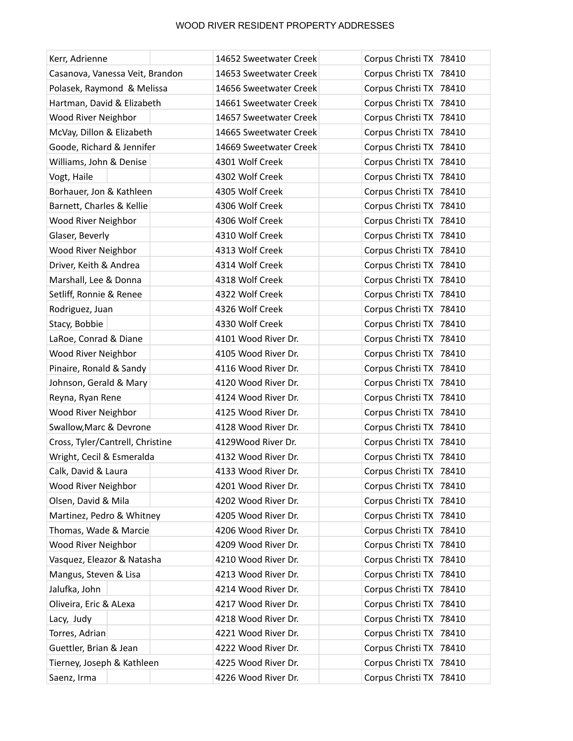| Kerr, Adrienne                   | 14652 Sweetwater Creek | Corpus Christi TX 78410 |  |  |  |
|----------------------------------|------------------------|-------------------------|--|--|--|
| Casanova, Vanessa Veit, Brandon  | 14653 Sweetwater Creek | Corpus Christi TX 78410 |  |  |  |
| Polasek, Raymond & Melissa       | 14656 Sweetwater Creek | Corpus Christi TX 78410 |  |  |  |
| Hartman, David & Elizabeth       | 14661 Sweetwater Creek | Corpus Christi TX 78410 |  |  |  |
| Wood River Neighbor              | 14657 Sweetwater Creek | Corpus Christi TX 78410 |  |  |  |
| McVay, Dillon & Elizabeth        | 14665 Sweetwater Creek | Corpus Christi TX 78410 |  |  |  |
| Goode, Richard & Jennifer        | 14669 Sweetwater Creek | Corpus Christi TX 78410 |  |  |  |
| Williams, John & Denise          | 4301 Wolf Creek        | Corpus Christi TX 78410 |  |  |  |
| Vogt, Haile                      | 4302 Wolf Creek        | Corpus Christi TX 78410 |  |  |  |
| Borhauer, Jon & Kathleen         | 4305 Wolf Creek        | Corpus Christi TX 78410 |  |  |  |
| Barnett, Charles & Kellie        | 4306 Wolf Creek        | Corpus Christi TX 78410 |  |  |  |
| Wood River Neighbor              | 4306 Wolf Creek        | Corpus Christi TX 78410 |  |  |  |
| Glaser, Beverly                  | 4310 Wolf Creek        | Corpus Christi TX 78410 |  |  |  |
| Wood River Neighbor              | 4313 Wolf Creek        | Corpus Christi TX 78410 |  |  |  |
| Driver, Keith & Andrea           | 4314 Wolf Creek        | Corpus Christi TX 78410 |  |  |  |
| Marshall, Lee & Donna            | 4318 Wolf Creek        | Corpus Christi TX 78410 |  |  |  |
| Setliff, Ronnie & Renee          | 4322 Wolf Creek        | Corpus Christi TX 78410 |  |  |  |
| Rodriguez, Juan                  | 4326 Wolf Creek        | Corpus Christi TX 78410 |  |  |  |
| Stacy, Bobbie                    | 4330 Wolf Creek        | Corpus Christi TX 78410 |  |  |  |
| LaRoe, Conrad & Diane            | 4101 Wood River Dr.    | Corpus Christi TX 78410 |  |  |  |
| Wood River Neighbor              | 4105 Wood River Dr.    | Corpus Christi TX 78410 |  |  |  |
| Pinaire, Ronald & Sandy          | 4116 Wood River Dr.    | Corpus Christi TX 78410 |  |  |  |
| Johnson, Gerald & Mary           | 4120 Wood River Dr.    | Corpus Christi TX 78410 |  |  |  |
| Reyna, Ryan Rene                 | 4124 Wood River Dr.    | Corpus Christi TX 78410 |  |  |  |
| Wood River Neighbor              | 4125 Wood River Dr.    | Corpus Christi TX 78410 |  |  |  |
| Swallow, Marc & Devrone          | 4128 Wood River Dr.    | Corpus Christi TX 78410 |  |  |  |
| Cross, Tyler/Cantrell, Christine | 4129Wood River Dr.     | Corpus Christi TX 78410 |  |  |  |
| Wright, Cecil & Esmeralda        | 4132 Wood River Dr.    | Corpus Christi TX 78410 |  |  |  |
| Calk, David & Laura              | 4133 Wood River Dr.    | Corpus Christi TX 78410 |  |  |  |
| Wood River Neighbor              | 4201 Wood River Dr.    | Corpus Christi TX 78410 |  |  |  |
| Olsen, David & Mila              | 4202 Wood River Dr.    | Corpus Christi TX 78410 |  |  |  |
| Martinez, Pedro & Whitney        | 4205 Wood River Dr.    | Corpus Christi TX 78410 |  |  |  |
| Thomas, Wade & Marcie            | 4206 Wood River Dr.    | Corpus Christi TX 78410 |  |  |  |
| Wood River Neighbor              | 4209 Wood River Dr.    | Corpus Christi TX 78410 |  |  |  |
| Vasquez, Eleazor & Natasha       | 4210 Wood River Dr.    | Corpus Christi TX 78410 |  |  |  |
| Mangus, Steven & Lisa            | 4213 Wood River Dr.    | Corpus Christi TX 78410 |  |  |  |
| Jalufka, John                    | 4214 Wood River Dr.    | Corpus Christi TX 78410 |  |  |  |
| Oliveira, Eric & ALexa           | 4217 Wood River Dr.    | Corpus Christi TX 78410 |  |  |  |
| Lacy, Judy                       | 4218 Wood River Dr.    | Corpus Christi TX 78410 |  |  |  |
| Torres, Adrian                   | 4221 Wood River Dr.    | Corpus Christi TX 78410 |  |  |  |
| Guettler, Brian & Jean           | 4222 Wood River Dr.    | Corpus Christi TX 78410 |  |  |  |
| Tierney, Joseph & Kathleen       | 4225 Wood River Dr.    | Corpus Christi TX 78410 |  |  |  |
| Saenz, Irma                      | 4226 Wood River Dr.    | Corpus Christi TX 78410 |  |  |  |